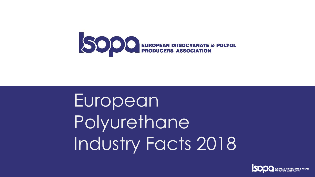

# European Polyurethane Industry Facts 2018



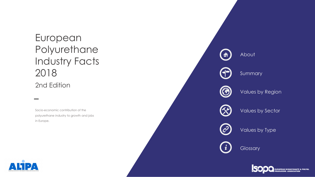## European Polyurethane Industry Facts 2018 2nd Edition

Socio -economic contribution of the polyurethane industry to growth and jobs in Europe.





SOOO EUROPEAN DIISOCYANATE & POLYOL

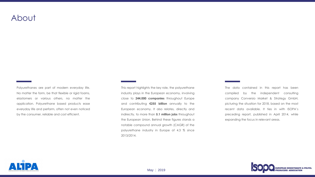### About

Polyurethanes are part of modern everyday life. No matter the form, be that flexible or rigid foams, elastomers or various others, no matter the application. Polyurethane based products ease everyday life and perform, often not even noticed by the consumer, reliable and cost efficient.

This report highlights the key role, the polyurethane industry plays in the European economy, involving close to **244,000 companies** throughout Europe and contributing **€255 billion** annually to the European economy. It also relates, directly and indirectly, to more than **5.1 million jobs** throughout the European Union. Behind these figures stands a notable compound annual growth (CAGR) of the polyurethane industry in Europe of 4.3 % since 2013/2014.



The data contained in this report has been compiled by the independent consulting company Conversio Market & Strategy GmbH, picturing the situation for 2018, based on the most recent data available. It ties in with ISOPA's preceding report, published in April 2014, while expanding the focus in relevant areas.

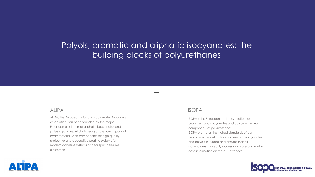## Polyols, aromatic and aliphatic isocyanates: the building blocks of polyurethanes

ALIPA, the European Aliphatic Isocyanates Producers Association, has been founded by the major European producers of aliphatic isocyanates and polyisocyanates. Aliphatic isocyanates are important basic materials and components for high-quality protective and decorative coating systems for modern adhesive systems and for specialties like elastomers.



#### ALIPA

ISOPA is the European trade association for producers of diisocyanates and polyols – the main components of polyurethanes. ISOPA promotes the highest standards of best practice in the distribution and use of diisocyanates and polyols in Europe and ensures that all stakeholders can easily access accurate and up-todate information on these substances.





#### ISOPA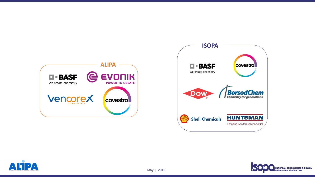







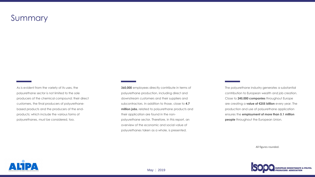## Summary

As is evident from the variety of its uses, the polyurethane sector is not limited to the sole producers of the chemical compound: their direct customers, the final producers of polyurethanebased products and the producers of the endproducts; which include the various forms of polyurethanes, must be considered, too.

**360,000** employees directly contribute in terms of polyurethane production, including direct and downstream customers and their suppliers and subcontractors. In addition to those, close to **4.7 million jobs**, related to polyurethane products and their application are found in the nonpolyurethane sector. Therefore, in this report, an overview of the economic and social value of polyurethanes taken as a whole, is presented.



The polyurethane industry generates a substantial contribution to European wealth and job creation. Close to **245,000 companies** throughout Europe are creating a **value of €255 billion** every year. The production and use of polyurethane application ensures the **employment of more than 5.1 million people** throughout the European Union.

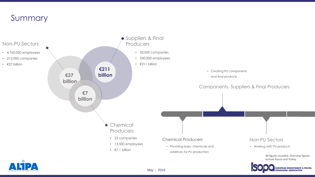#### Chemical Producers

• Providing basic chemicals and additives for PU production

• Creating PU components and final products

Non-PU Sectors

• Working with PU products

Components, Suppliers & Final Producers

## Summary

- 
- 33,000 companies
- 350,000 employees
	-

#### Non-PU Sectors





- 4,760,000 employees
- 212,000 companies
- €37 billion

All figures rounded. Overview figures include Russia and Turkey.



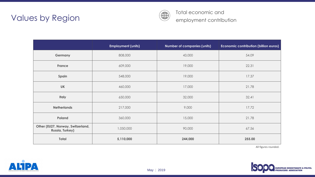## Values by Region

|                                                             | <b>Employment (units)</b> | Number of companies (units) | Economic contribution (billion euros) |
|-------------------------------------------------------------|---------------------------|-----------------------------|---------------------------------------|
| <b>Germany</b>                                              | 808,000                   | 43,000                      | 54.09                                 |
| <b>France</b>                                               | 609,000                   | 19,000                      | 22.31                                 |
| Spain                                                       | 548,000                   | 19,000                      | 17.37                                 |
| <b>UK</b>                                                   | 460,000                   | 17,000                      | 21.78                                 |
| <b>Italy</b>                                                | 650,000                   | 32,000                      | 32.41                                 |
| <b>Netherlands</b>                                          | 217,000                   | 9,000                       | 17.72                                 |
| <b>Poland</b>                                               | 360,000                   | 15,000                      | 21.78                                 |
| Other (EU27, Norway, Switzerland,<br><b>Russia, Turkey)</b> | 1,050,000                 | 90,000                      | 67.56                                 |
| <b>Total</b>                                                | 5,110,000                 | 244,000                     | 255.00                                |





Total economic and employment contribution



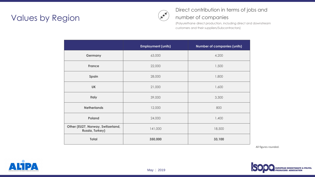## **Values by Region**

|                                                             | <b>Employment (units)</b> | <b>Number of companies (units)</b> |
|-------------------------------------------------------------|---------------------------|------------------------------------|
| <b>Germany</b>                                              | 63,000                    | 4,200                              |
| <b>France</b>                                               | 22,000                    | 1,500                              |
| Spain                                                       | 28,000                    | 1,800                              |
| <b>UK</b>                                                   | 21,000                    | 1,600                              |
| <b>Italy</b>                                                | 39,000                    | 3,300                              |
| <b>Netherlands</b>                                          | 12,000                    | 800                                |
| <b>Poland</b>                                               | 24,000                    | 1,400                              |
| Other (EU27, Norway, Switzerland,<br><b>Russia, Turkey)</b> | 141,000                   | 18,500                             |
| <b>Total</b>                                                | 350,000                   | 33,100                             |





### Direct contribution in terms of jobs and number of companies

(Polyurethane direct production, including direct and downstream customers and their suppliers/Subcontractors)



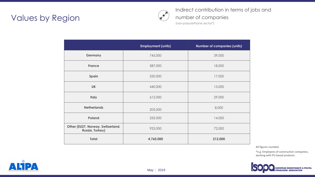## Values by Region (2008) Number of company of company and the sector of  $\sum_{(non-poly) \text{vertplane sector}^*}$

|                                                             | <b>Employment (units)</b> | <b>Number of companies (units)</b> |
|-------------------------------------------------------------|---------------------------|------------------------------------|
| <b>Germany</b>                                              | 745,000                   | 39,000                             |
| <b>France</b>                                               | 587,000                   | 18,000                             |
| Spain                                                       | 520,000                   | 17,000                             |
| <b>UK</b>                                                   | 440,000                   | 15,000                             |
| <b>Italy</b>                                                | 612,000                   | 29,000                             |
| <b>Netherlands</b>                                          | 205,000                   | 8,000                              |
| <b>Poland</b>                                               | 335,000                   | 14,000                             |
| Other (EU27, Norway, Switzerland,<br><b>Russia, Turkey)</b> | 925,000                   | 72,000                             |
| <b>Total</b>                                                | 4,760,000                 | 212,000                            |





#### Indirect contribution in terms of jobs and number of companies

\*e.g. Employees of construction companies, working with PU based products.

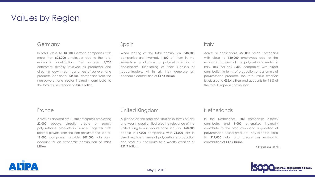

Across all applications, **1,500** enterprises employing **22,000** people directly create or supply polyurethane products in France. Together with related players from the non-polyurethane sector, **19,000** companies provide **609,000** jobs and account for an economic contribution of **€22.3 billion**.

#### France

In total, close to **43,000** German companies with more than **808,000** employees add to the total economic contribution. This includes **4,200** enterprises directly involved as producers and direct- or downstream customers of polyurethane products. Additional **745,000** companies from the non-polyurethane sector indirectly contribute to the total value creation of **€54.1 billion**.

### Values by Region

#### **Germany**

A glance on the total contribution in terms of jobs and wealth creation illustrates the relevance of the United Kingdom's polyurethane industry. **460,000** people in **17,000** companies, with **21,000** jobs in direct relation in terms of polyurethane production and products, contribute to a wealth creation of **€21.7 billion**.



#### **Italy**

#### United Kingdom

When looking at the total contribution, **548,000** companies are involved. **1,800** of them in the immediate production of polyurethanes or its applications, functioning as their suppliers or subcontractors. All in all, they generate an economic contribution of **€17.4 billion**.

#### Spain

In the Netherlands, **800** companies directly contribute, and **8.000** enterprises indirectly contribute to the production and application of polyurethane based products. They allocate close to **217,000** jobs and create an economic contribution of **€17.7 billion**.

Across all applications, **650,000** Italian companies with close to **130,000** employees add to the economic success of the polyurethane sector in Italy. This includes **3,300** companies with direct contribution in terms of production or customers of polyurethane products. The total value creation levels around **€32.4 billion** and accounts for 13 % of the total European contribution.

#### **Netherlands**

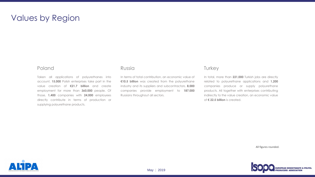Taken all applications of polyurethanes into account, **15,000** Polish enterprises take part in the value creation of **€21.7 billion** and create employment for more than **360,000** people. Of those, **1,400** companies with **24,000** employees directly contribute in terms of production or supplying polyurethane products.



#### Poland

## Values by Region

In terms of total contribution, an economic value of **€10.5 billion** was created from the polyurethane industry and its suppliers and subcontractors. **8,000** companies provide employment to **187,000** Russians throughout all sectors.



#### **Turkey**

#### Russia

In total, more than **221,000** Turkish jobs are directly related to polyurethane applications and **1,200** companies produce or supply polyurethane products. All together with enterprises contributing indirectly to the value creation, an economic value of **€ 22.5 billion** is created.

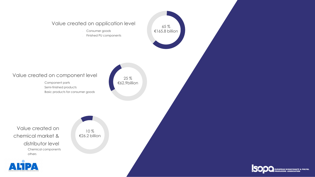#### Value created on application level

- Consumer goods
- Finished PU components

#### Chemical components others Value created on chemical market & distributor level



Component parts Semi-finished products Basic products for consumer goods

#### Value created on component level







25 % €62.9billion

10 % €26.2 billion

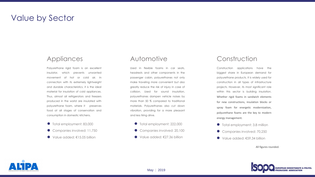

- Total employment: 83,000
- Companies involved: 11,750
- Value added: €15.05 billion

Polyurethane rigid foam is an excellent insulator, which prevents unwanted movement of hot or cold air. In connection with its extremely lightweight and durable characteristics, it is the ideal material for insulation of cold appliances. Thus, almost all refrigerators and freezers produced in the world are insulated with polyurethane foam, where it preserves food at all stages of conservation and consumption in domestic kitchens.

#### Automotive

Used in flexible foams in car seats, headrests and other components in the passenger cabin, polyurethanes not only make traveling more convenient but also greatly reduce the risk of injury in case of collision. Used for sound insulation, polyurethanes dampen vehicle noises by more than 50 % compared to traditional materials. Polyurethanes also cut down vibration, providing for a more pleasant and less tiring drive.



Companies involved: 20,100 Total employment: 222,000 ● Value added: €27.36 billion

#### Construction

Construction applications have the biggest share in European demand for polyurethane products. It is widely used for construction in all types of infrastructure projects. However, its most significant role within this sector is building insulation. Whether rigid foams in sandwich elements for new constructions, insulation blocks or spray foam for energetic modernization, polyurethane foams are the key to modern energy management.

- **•** Total employment: 3.8 million
- Companies involved: 70,250  $\bullet$
- Value added: €59.34 billion

### Value by Sector

### **Appliances**

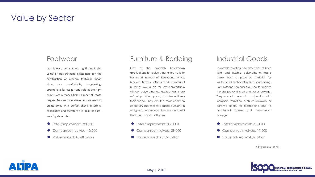

### Value by Sector

#### Footwear

- Total employment: 98,000
- Companies involved: 13,000
- Value added: €0.68 billion  $\bullet$

Less known, but not less significant is the value of polyurethane elastomers for the construction of modern footwear. Good shoes are comfortable, long-lasting, appropriate for usage –and sold at the right price. Polyurethanes help to meet all those targets. Polyurethane elastomers are used to create soles with perfect shock absorbing capabilities and therefore are ideal for hardwearing shoe soles.

### Furniture & Bedding

- Total employment: 200,000
- Companies involved: 17,500
- Value added: €34.87 billion

One of the probably best-known applications for polyurethane foams is to be found in most of Europeans homes. Modern homes, offices and communal buildings would be far less comfortable without polyurethanes. Flexible foams are soft yet provide support, durable and keep their shape. They are the most common upholstery material for seating cushions in all types of upholstered furniture and build the core of most mattresses.

- 
- 
- 



Companies involved: 29,200 Total employment: 335,000 ● Value added: €31.54 billion

### Industrial Goods

Favorable isolating characteristics of both rigid and flexible polyurethane foams make them a preferred material for insulation of technical systems and piping. Polyurethane sealants are used to fill gaps thereby preventing air and water leakage. They are also used in conjunction with inorganic insulation, such as rockwool or ceramic fibers, for firestopping and to counteract smoke and hose-stream passage.

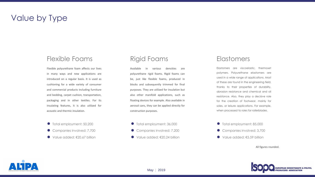

### Value by Type

### Flexible Foams

- Total employment: 50,200
- Companies involved: 7,700
- Value added: €20.67 billion  $\bullet$



Flexible polyurethane foam affects our lives in many ways and new applications are introduced on a regular basis. It is used as cushioning for a wide variety of consumer and commercial products including furniture and bedding, carpet cushion, transportation, packaging and in other textiles. For its insulating features, it is also utilized for acoustic and thermic insulation.

- Total employment: 85,000
- Companies involved: 3,700
- Value added: €5.59 billion

#### Rigid Foams

Companies involved: 7,200 Total employment: 36,000 ● Value added: €20.24 billion

#### **Elastomers**

Available in various densities are polyurethane rigid foams. Rigid foams can be, just like flexible foams, produced in blocks and subsequently trimmed for final purposes. They are utilized for insulation but also other manifold applications, such as floating devices for example. Also available in aerosol cans, they can be applied directly for construction purposes.





Elastomers are viscoelastic, thermoset polymers. Polyurethane elastomers are used in a wide range of applications. Most of these are found in the engineering field, thanks to their properties of durability, abrasion resistance and chemical and oil resistance. Also, they play a decisive role for the creation of footwear, mainly for soles, or leisure applications. For example, when processed to roles for rollerblades.

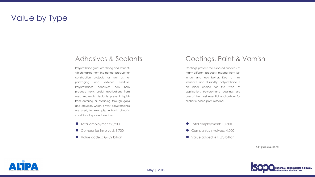

## Value by Type

#### Adhesives & Sealants

- Total employment: 8,200
- Companies involved: 3,700
- Value added: €4.82 billion



- Total employment: 10,600
- Companies involved: 4,000
- Value added: €11.93 billion

Polyurethane glues are strong and resilient, which makes them the perfect product for construction projects, as well as for packaging and exterior furniture. Polyurethanes adhesives can help produce new, useful applications from used materials. Sealants prevent liquids from entering or escaping through gaps and crevices, which is why polyurethanes are used, for example, in harsh climatic conditions to protect windows.

### Coatings, Paint & Varnish

Coatings protect the exposed surfaces of many different products, making them last longer and look better. Due to their resilience and durability, polyurethane is an ideal choice for this type of application. Polyurethane coatings are one of the most essential applications for aliphatic based polyurethanes.

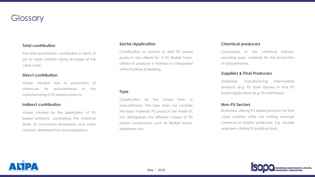

The total quantitative contribution in terms of job or value creation along all stages of the value chain.

### **Glossary**

#### **Total contribution**

Values created due to production of chemicals for polyurethanes or the manufacturing of PU based products.

#### **Direct contribution**

Values created by the application of PU based products, considering the statistical share of concerned employees and value creation, delimited from total operations.

#### **Indirect contribution**

Companies of the chemical industry, providing basic materials for the production of polyurethanes.

#### **Chemical producers**

Enterprises manufacturing intermediate products (e.g. PU foam blocks) or final PU based applications (e.g. PU mattresses).

#### **Suppliers & Final Producers**

Businesses utilizing PU based products for their value creation while not ranking amongst chemical or plastics producers. E.g. façade engineers utilizing PU building foam.



#### **Non-PU Sectors**

Classification by branch or field PU based products are utilized for. A PU flexible foam, utilized to produce a mattress is categorized within Furniture & Bedding

#### **Sector/Application**

Classification by the output form of polyurethanes. The type does not consider the basic materials, PU products are made of, but distinguishes the different classes of PU based components, such as flexible foams, elastomers, etc.



#### **Type**